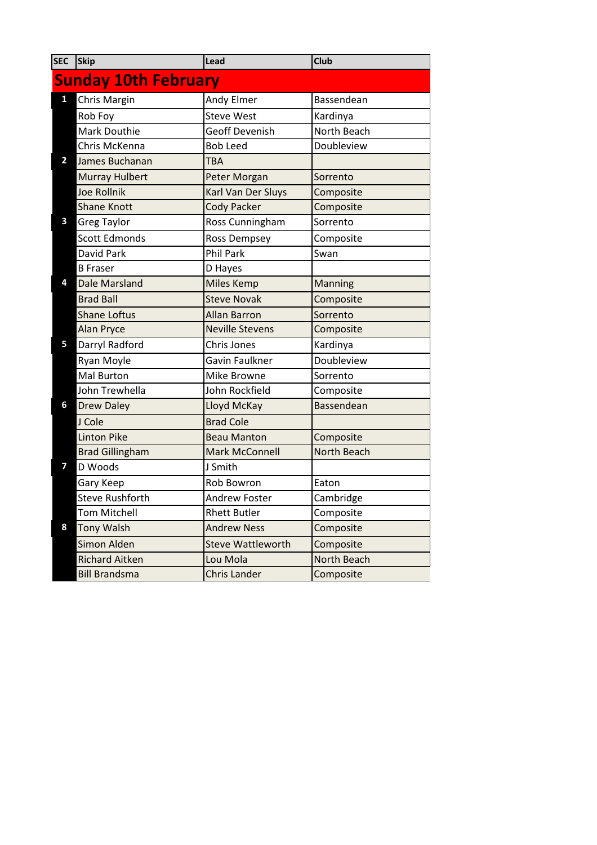| <b>SEC</b>                  | Skip                   | Lead                     | Club               |  |  |
|-----------------------------|------------------------|--------------------------|--------------------|--|--|
| <b>Sunday 10th February</b> |                        |                          |                    |  |  |
| $\mathbf{1}$                | Chris Margin           | Andy Elmer               | Bassendean         |  |  |
|                             | Rob Foy                | <b>Steve West</b>        | Kardinya           |  |  |
|                             | Mark Douthie           | <b>Geoff Devenish</b>    | North Beach        |  |  |
|                             | Chris McKenna          | <b>Bob Leed</b>          | Doubleview         |  |  |
| $\overline{\mathbf{2}}$     | James Buchanan         | <b>TBA</b>               |                    |  |  |
|                             | <b>Murray Hulbert</b>  | Peter Morgan             | Sorrento           |  |  |
|                             | <b>Joe Rollnik</b>     | Karl Van Der Sluys       | Composite          |  |  |
|                             | <b>Shane Knott</b>     | <b>Cody Packer</b>       | Composite          |  |  |
| 3                           | <b>Greg Taylor</b>     | Ross Cunningham          | Sorrento           |  |  |
|                             | <b>Scott Edmonds</b>   | <b>Ross Dempsey</b>      | Composite          |  |  |
|                             | David Park             | <b>Phil Park</b>         | Swan               |  |  |
|                             | <b>B</b> Fraser        | D Hayes                  |                    |  |  |
| 4                           | <b>Dale Marsland</b>   | <b>Miles Kemp</b>        | Manning            |  |  |
|                             | <b>Brad Ball</b>       | <b>Steve Novak</b>       | Composite          |  |  |
|                             | <b>Shane Loftus</b>    | <b>Allan Barron</b>      | Sorrento           |  |  |
|                             | <b>Alan Pryce</b>      | <b>Neville Stevens</b>   | Composite          |  |  |
| 5                           | Darryl Radford         | Chris Jones              | Kardinya           |  |  |
|                             | Ryan Moyle             | Gavin Faulkner           | Doubleview         |  |  |
|                             | Mal Burton             | Mike Browne              | Sorrento           |  |  |
|                             | John Trewhella         | John Rockfield           | Composite          |  |  |
| 6                           | <b>Drew Daley</b>      | Lloyd McKay              | Bassendean         |  |  |
|                             | J Cole                 | <b>Brad Cole</b>         |                    |  |  |
|                             | <b>Linton Pike</b>     | <b>Beau Manton</b>       | Composite          |  |  |
|                             | <b>Brad Gillingham</b> | <b>Mark McConnell</b>    | <b>North Beach</b> |  |  |
| 7                           | D Woods                | J Smith                  |                    |  |  |
|                             | Gary Keep              | Rob Bowron               | Eaton              |  |  |
|                             | <b>Steve Rushforth</b> | <b>Andrew Foster</b>     | Cambridge          |  |  |
|                             | <b>Tom Mitchell</b>    | <b>Rhett Butler</b>      | Composite          |  |  |
| 8                           | <b>Tony Walsh</b>      | <b>Andrew Ness</b>       | Composite          |  |  |
|                             | Simon Alden            | <b>Steve Wattleworth</b> | Composite          |  |  |
|                             | <b>Richard Aitken</b>  | Lou Mola                 | North Beach        |  |  |
|                             | <b>Bill Brandsma</b>   | Chris Lander             | Composite          |  |  |